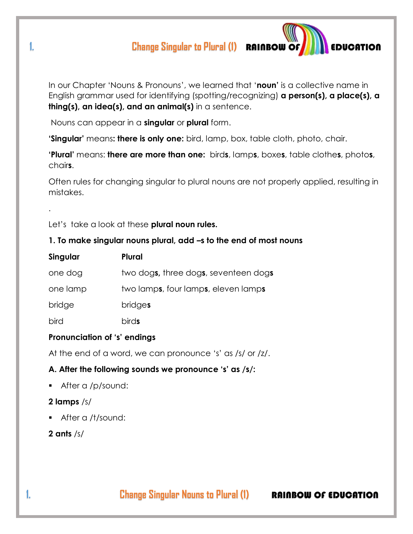# **1.** Change Singular to Plural (1) **RAINBOW OF EXPLANTION**



Nouns can appear in a **singular** or **plural** form.

**'Singular'** means**: there is only one:** bird, lamp, box, table cloth, photo, chair.

**'Plural'** means: **there are more than one:** bird**s**, lamp**s**, boxe**s**, table clothe**s**, photo**s**, chair**s**.

Often rules for changing singular to plural nouns are not properly applied, resulting in mistakes.

Let's take a look at these **plural noun rules.**

#### **1. To make singular nouns plural, add –s to the end of most nouns**

| Singular | <b>Plural</b>                        |
|----------|--------------------------------------|
| one dog  | two dogs, three dogs, seventeen dogs |
| one lamp | two lamps, four lamps, eleven lamps  |
| bridge   | <b>bridges</b>                       |
| bird     | <b>birds</b>                         |

#### **Pronunciation of 's' endings**

At the end of a word, we can pronounce 's' as /s/ or /z/.

#### **A. After the following sounds we pronounce 's' as /s/:**

After a /p/sound:

#### **2 lamps** /s/

.

After a /t/sound:

**2 ants** /s/

**1. 1. Change Singular Nouns to Plural (1) RAINBOW OF EDUCATION**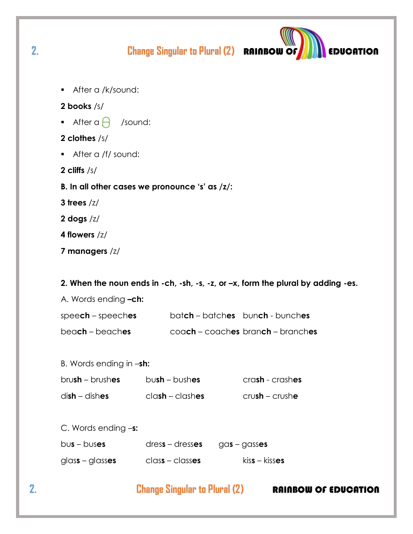**Change Singular to Plural (2) RAINBOW OF** 

After a /k/sound:

#### 2 books /s/

After a  $\bigcap$  /sound:

#### 2 clothes /s/

- After a /f/ sound:
- 2 cliffs  $/s/$
- B. In all other cases we pronounce 's' as  $\frac{z}{z}$ .
- 3 trees  $/z/$
- 2 dogs  $/z/$
- 4 flowers /z/
- 7 managers /z/

#### 2. When the noun ends in  $-ch$ ,  $-sh$ ,  $-s$ ,  $-z$ , or  $-x$ , form the plural by adding  $-es$ .

A. Words ending -ch:

| $speed - speed -$               | batch – batches bunch - bunches |                                          |
|---------------------------------|---------------------------------|------------------------------------------|
| bea <b>ch</b> – beach <b>es</b> |                                 | $\cos$ coach – coaches branch – branches |

| B. Words ending in -sh: |  |
|-------------------------|--|
|-------------------------|--|

| $brush - brushes$ | $bush - bushes$    | crash - crashes   |
|-------------------|--------------------|-------------------|
| $dish$ – dishes   | $clash - clash$ es | $cru$ sh – crushe |

C. Words ending -s:

| $bus - buses$ | $dress - dresses$ | $gas-gass$ es |
|---------------|-------------------|---------------|
|               |                   |               |

glass - glasses class - classes  $kiss - kisses$ 

# **Change Singular to Plural (2)**

### **RAINBOW OF EDUCATION**

**EDUCATION** 

 $2.$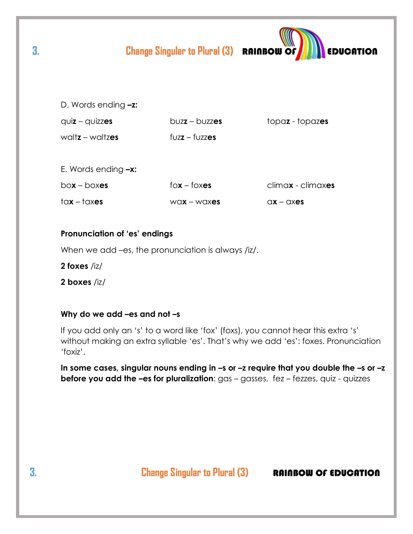|                          | <b>Change Singular to Plural (3) RAINBOW OF</b>                                                                                                     | <b>EDUCATION</b>         |
|--------------------------|-----------------------------------------------------------------------------------------------------------------------------------------------------|--------------------------|
| D. Words ending $-z$ :   |                                                                                                                                                     |                          |
| $q$ uiz – quizzes        | $b$ uzz – buzzes                                                                                                                                    | topaz - topaz <b>es</b>  |
| waltz – waltzes          | $fUzz - fUzz$ es                                                                                                                                    |                          |
|                          |                                                                                                                                                     |                          |
| E. Words ending $-x$ :   |                                                                                                                                                     |                          |
| $box - boxes$            | $fox - fox$                                                                                                                                         | climax - climaxes        |
| $\frac{1}{\alpha}$ taxes | $W0X - W0X + W0X + W0X + W0X + W0X + W0X + W0X + W0X + W0X + W0X + W0X + W0X + W0X + W0X + W0X + W0X + W0X + W0X + W0X + W0X + W0X + W0X + W0X + W$ | $\alpha x - \alpha x$ es |

#### Pronunciation of 'es' endings

When we add -es, the pronunciation is always /iz/.

- 2 foxes  $/iz/$
- 2 boxes /iz/

#### Why do we add -es and not -s

If you add only an 's' to a word like 'fox' (foxs), you cannot hear this extra 's' without making an extra syllable 'es'. That's why we add 'es': foxes. Pronunciation 'foxiz'.

In some cases, singular nouns ending in -s or -z require that you double the -s or -z **before you add the -es for pluralization:**  $gas - gases$ ,  $fez - fezzes$ ,  $quiz - quizzes$ 

**Change Singular to Plural (3)** 

**RAINBOW OF EDUCATION** 

3.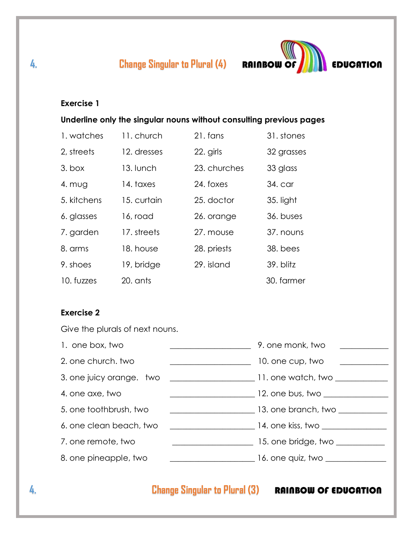

### **Exercise 1**

**Underline only the singular nouns without consulting previous pages**

| 1. watches  | 11. church  | 21. fans     | 31. stones |
|-------------|-------------|--------------|------------|
| 2, streets  | 12. dresses | 22. girls    | 32 grasses |
| $3.$ box    | 13. lunch   | 23. churches | 33 glass   |
| 4. $mU$ g   | 14. taxes   | 24. foxes    | 34. car    |
| 5. kitchens | 15. curtain | 25. doctor   | 35. light  |
| 6. glasses  | 16, road    | 26. orange   | 36. buses  |
| 7. garden   | 17. streets | 27. mouse    | 37. nouns  |
| 8. arms     | 18. house   | 28. priests  | 38. bees   |
| 9. shoes    | 19, bridge  | 29. island   | 39. blitz  |
| 10. fuzzes  | $20.$ ants  |              | 30. farmer |

### **Exercise 2**

Give the plurals of next nouns.

| 1. one box, two         |                                         | 9. one monk, two                                                                                               |
|-------------------------|-----------------------------------------|----------------------------------------------------------------------------------------------------------------|
| 2. one church, two      |                                         | 10. one cup, two                                                                                               |
|                         |                                         |                                                                                                                |
| 4. one axe, two         |                                         |                                                                                                                |
| 5. one toothbrush, two  |                                         | and a state of 13. one branch, two was a state of the state of the state of the state of the state of the stat |
| 6. one clean beach, two |                                         | $\sim$ 14. one kiss, two $\sim$ 14. $\sim$                                                                     |
| 7. one remote, two      | <u> 1980 - Johann Barbara, martin a</u> | 15. one bridge, two __________                                                                                 |
| 8. one pineapple, two   |                                         |                                                                                                                |

# **4.** Change Singular to Plural (3) **RAINBOW OF EDUCATION**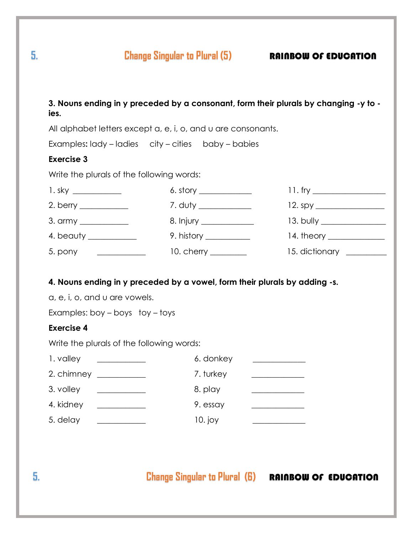**5.** Change Singular to Plural (5) **RAINBOW OF EDUCATION** 

|                                                | All alphabet letters except a, e, i, o, and u are consonants.                  |                                                                                                                      |
|------------------------------------------------|--------------------------------------------------------------------------------|----------------------------------------------------------------------------------------------------------------------|
|                                                | Examples: lady - ladies city - cities baby - babies                            |                                                                                                                      |
| <b>Exercise 3</b>                              |                                                                                |                                                                                                                      |
| Write the plurals of the following words:      |                                                                                |                                                                                                                      |
|                                                | 6. story $\frac{1}{2}$                                                         |                                                                                                                      |
| 2. berry $\frac{1}{2}$                         | 7. duty _____________                                                          | $12.\text{spy}$                                                                                                      |
| 3. army ____________                           |                                                                                |                                                                                                                      |
| 4. beauty ____________                         | 9. history $\frac{1}{\sqrt{1-\frac{1}{2}}\cdot\frac{1}{\sqrt{1-\frac{1}{2}}}}$ |                                                                                                                      |
|                                                | $10.$ cherry $\_\_$                                                            | 15. dictionary _________                                                                                             |
| Write the plurals of the following words:      |                                                                                |                                                                                                                      |
| 1. valley<br><u>and the state of the state</u> | 6. donkey                                                                      |                                                                                                                      |
|                                                | 7. turkey                                                                      |                                                                                                                      |
| 3. volley                                      | 8. play                                                                        |                                                                                                                      |
| 4. kidney                                      | 9. essay                                                                       | <u> 2000 - Andrea Britain, politik eta politik eta politik eta politik eta politik eta politik eta politik eta p</u> |
| 5. delay _____________                         | 10. joy                                                                        | <u> The Common School (1989)</u>                                                                                     |
|                                                |                                                                                |                                                                                                                      |
|                                                |                                                                                |                                                                                                                      |
|                                                |                                                                                |                                                                                                                      |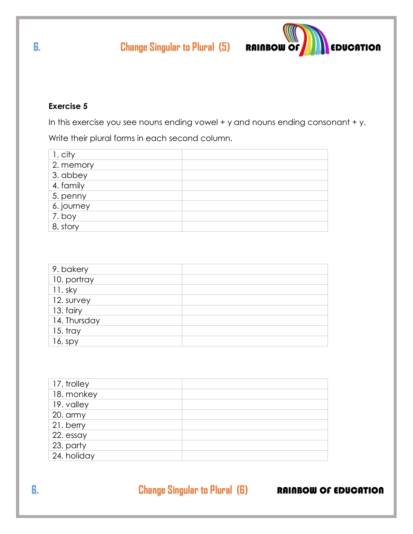

### **Exercise 5**

In this exercise you see nouns ending vowel + y and nouns ending consonant + y.

Write their plural forms in each second column.

| 1. city    |  |
|------------|--|
| 2. memory  |  |
| 3. abbey   |  |
| 4. family  |  |
| 5. penny   |  |
| 6. journey |  |
| 7. boy     |  |
| 8, story   |  |

| 9. bakery    |  |
|--------------|--|
| 10. portray  |  |
| $11.$ sky    |  |
| 12. survey   |  |
| 13. fairy    |  |
| 14. Thursday |  |
| $15.$ tray   |  |
| $16$ , spy   |  |

| 17. trolley |  |
|-------------|--|
| 18. monkey  |  |
| 19. valley  |  |
| 20. army    |  |
| 21. berry   |  |
| 22. essay   |  |
| 23. party   |  |
| 24. holiday |  |
|             |  |

**6. Change Singular to Plural (6) RAINBOW OF EDUCATION**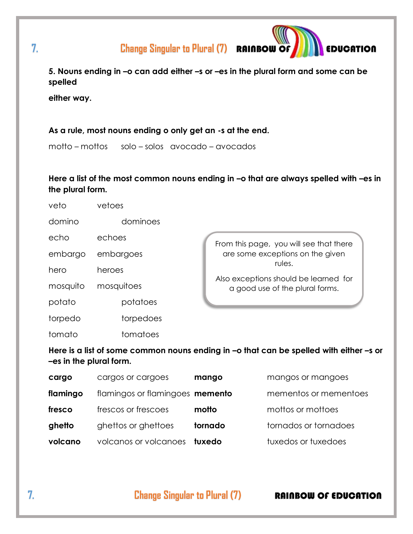**7.** Change Singular to Plural (7) **RAINBOW OF AND ACCIDENTION** 

**5. Nouns ending in –o can add either –s or –es in the plural form and some can be spelled** 

**either way.**

#### **As a rule, most nouns ending o only get an -s at the end.**

motto – mottos solo – solos avocado – avocados

**Here a list of the most common nouns ending in –o that are always spelled with –es in the plural form.** 

| veto     | vetoes     |                                                                          |
|----------|------------|--------------------------------------------------------------------------|
| domino   | dominoes   |                                                                          |
| echo     | echoes     | From this page, you will see that there                                  |
| embargo  | embargoes  | are some exceptions on the given                                         |
| hero     | heroes     | rules.                                                                   |
| mosquito | mosquitoes | Also exceptions should be learned for<br>a good use of the plural forms. |
| potato   | potatoes   |                                                                          |
| torpedo  | torpedoes  |                                                                          |
| tomato   | tomatoes   |                                                                          |

**Here is a list of some common nouns ending in –o that can be spelled with either –s or –es in the plural form.**

| cargo    | cargos or cargoes                      | mango   | mangos or mangoes     |
|----------|----------------------------------------|---------|-----------------------|
| flamingo | flamingos or flamingoes <b>memento</b> |         | mementos or mementoes |
| fresco   | frescos or frescoes                    | motto   | mottos or mottoes     |
| ghetto   | ghettos or ghettoes                    | tornado | tornados or tornadoes |
| volcano  | volcanos or volcanoes                  | tuxedo  | tuxedos or tuxedoes   |

**7. Change Singular to Plural (7) RAINBOW OF EDUCATION**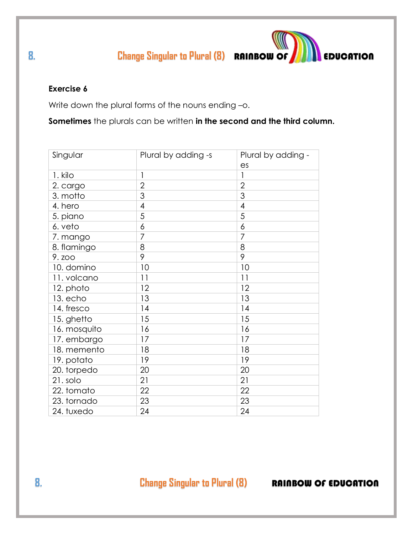**8.** Change Singular to Plural (8) **RAINBOW OF AND EDUCATION** 

#### **Exercise 6**

Write down the plural forms of the nouns ending -o.

**Sometimes** the plurals can be written **in the second and the third column.**

| Singular     | Plural by adding -s | Plural by adding - |  |
|--------------|---------------------|--------------------|--|
|              |                     | es                 |  |
| 1. kilo      | 1                   | 1                  |  |
| 2. cargo     | $\overline{2}$      | $\overline{2}$     |  |
| 3. motto     | 3                   | 3                  |  |
| 4. hero      | $\overline{4}$      | $\overline{4}$     |  |
| 5. piano     | 5                   | 5                  |  |
| 6. veto      | 6                   | 6                  |  |
| 7. mango     | 7                   | 7                  |  |
| 8. flamingo  | 8                   | 8                  |  |
| 9. zoo       | 9                   | 9                  |  |
| 10. domino   | 10                  | 10                 |  |
| 11. volcano  | 11                  | 11                 |  |
| 12. photo    | 12                  | 12                 |  |
| 13. echo     | 13                  | 13                 |  |
| 14. fresco   | 14                  | 14                 |  |
| 15. ghetto   | 15                  | 15                 |  |
| 16. mosquito | 16                  | 16                 |  |
| 17. embargo  | 17                  | 17                 |  |
| 18. memento  | 18                  | 18                 |  |
| 19. potato   | 19                  | 19                 |  |
| 20. torpedo  | 20                  | 20                 |  |
| 21. solo     | 21                  | 21                 |  |
| 22. tomato   | 22                  | 22                 |  |
| 23. tornado  | 23                  | 23                 |  |
| 24. tuxedo   | 24                  | 24                 |  |

**8. Change Singular to Plural (8) RAINBOW OF EDUCATION**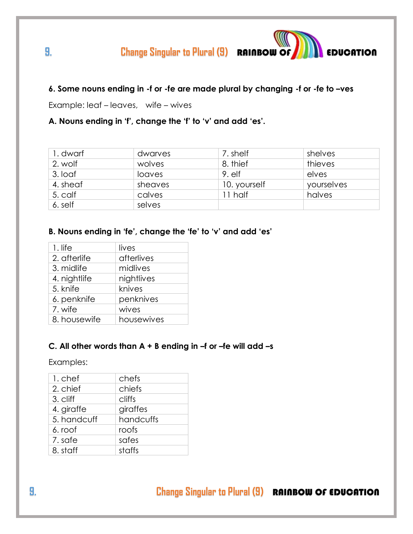# **9.** Change Singular to Plural (9) **RAINBOW OF AND EDUCATION**

#### **6. Some nouns ending in -f or -fe are made plural by changing -f or -fe to –ves**

Example: leaf – leaves, wife – wives

#### **A. Nouns ending in 'f', change the 'f' to 'v' and add 'es'.**

| I. dwarf | dwarves | 7. shelf     | shelves    |
|----------|---------|--------------|------------|
| 2. wolf  | wolves  | 8. thief     | thieves    |
| 3. loaf  | loaves  | $9.$ elf     | elves      |
| 4. sheaf | sheaves | 10. yourself | yourselves |
| 5. calf  | calves  | 11 half      | halves     |
| 6. self  | selves  |              |            |

#### **B. Nouns ending in 'fe', change the 'fe' to 'v' and add 'es'**

| $1.$ life                  |
|----------------------------|
| afterlives<br>2. afterlife |
| midlives<br>3. midlife     |
| 4. nightlife<br>nightlives |
| knives<br>5. knife         |
| 6. penknife<br>penknives   |
| wives<br>7. wife           |
| 8. housewife<br>housewives |

#### **C. All other words than A + B ending in –f or –fe will add –s**

Examples:

| 1. chef     | chefs     |
|-------------|-----------|
| 2. chief    | chiefs    |
| 3. cliff    | cliffs    |
| 4. giraffe  | giraffes  |
| 5. handcuff | handcuffs |
| 6. roof     | roofs     |
| 7. safe     | safes     |
| 8. staff    | staffs    |
|             |           |

**9. Change Singular to Plural (9)** RAINBOW OF EDUCATION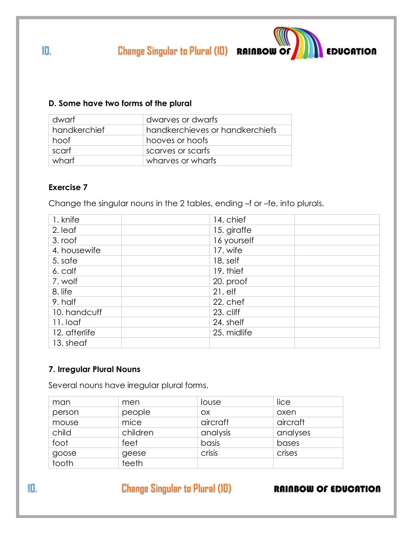**10. Change Singular to Plural (10) RAINBOW OF <b>AND A** EDUCATION

#### **D. Some have two forms of the plural**

| dwarf        | dwarves or dwarfs               |
|--------------|---------------------------------|
| handkerchief | handkerchieves or handkerchiefs |
| hoof         | hooves or hoofs                 |
| scarf        | scarves or scarfs               |
| wharf        | wharves or wharfs               |

#### **Exercise 7**

Change the singular nouns in the 2 tables, ending –f or –fe, into plurals.

| 1. knife      | 14. chief   |
|---------------|-------------|
| 2. leaf       | 15. giraffe |
| 3. roof       | 16 yourself |
| 4. housewife  | 17. wife    |
| 5. safe       | 18. self    |
| 6. calf       | 19. thief   |
| 7. wolf       | 20. proof   |
| 8. life       | $21.$ elf   |
| 9. half       | 22. chef    |
| 10. handcuff  | 23. cliff   |
| 11. loaf      | 24. shelf   |
| 12. afterlife | 25. midlife |
| 13. sheaf     |             |

### **7. Irregular Plural Nouns**

Several nouns have irregular plural forms.

| man    | men      | louse    | lice     |
|--------|----------|----------|----------|
| person | people   | OX.      | oxen     |
| mouse  | mice     | aircraft | aircraft |
| child  | children | analysis | analyses |
| foot   | feet     | basis    | bases    |
| goose  | geese    | crisis   | crises   |
| tooth  | teeth    |          |          |

**10. Change Singular to Plural (10) RAINBOW OF EDUCATION**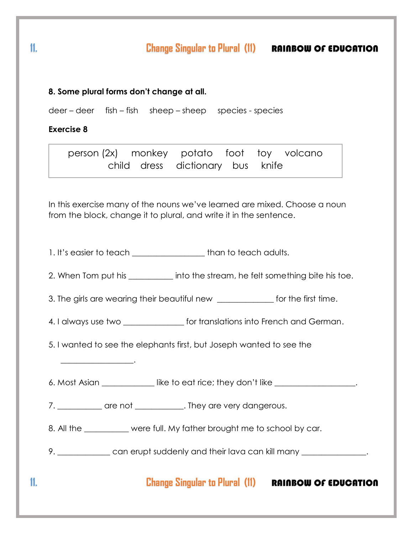# **11. Change Singular to Plural (11)** RAINBOW OF EDUCATION

#### **8. Some plural forms don't change at all.**

deer – deer fish – fish sheep – sheep species - species

#### **Exercise 8**

\_\_\_\_\_\_\_\_\_\_\_\_\_\_\_\_\_\_.

person (2x) monkey potato foot toy volcano child dress dictionary bus knife

In this exercise many of the nouns we've learned are mixed. Choose a noun from the block, change it to plural, and write it in the sentence.

1. It's easier to teach \_\_\_\_\_\_\_\_\_\_\_\_\_\_\_\_\_\_\_\_\_ than to teach adults.

2. When Tom put his \_\_\_\_\_\_\_\_\_\_\_\_ into the stream, he felt something bite his toe.

3. The girls are wearing their beautiful new \_\_\_\_\_\_\_\_\_\_\_\_\_ for the first time.

4. I always use two \_\_\_\_\_\_\_\_\_\_\_\_\_\_\_\_\_ for translations into French and German.

5. I wanted to see the elephants first, but Joseph wanted to see the

6. Most Asian **Example 3 is under** like to eat rice; they don't like

7. \_\_\_\_\_\_\_\_\_\_\_\_ are not \_\_\_\_\_\_\_\_\_\_\_\_\_. They are very dangerous.

8. All the \_\_\_\_\_\_\_\_\_\_ were full. My father brought me to school by car.

9. \_\_\_\_\_\_\_\_\_\_\_\_\_\_ can erupt suddenly and their lava can kill many \_\_\_\_\_\_\_\_\_\_\_\_\_\_

 **11. Change Singular to Plural (11)** RAINBOW OF EDUCATION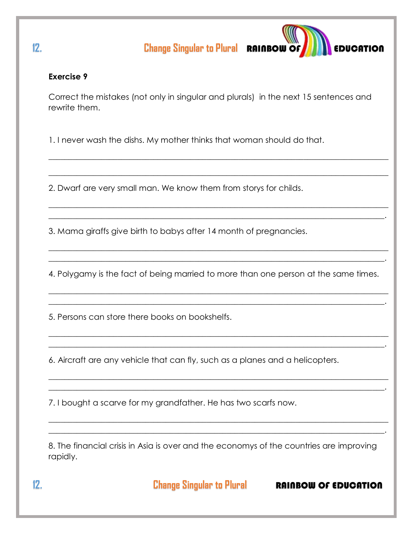

#### **Exercise 9**

Correct the mistakes (not only in singular and plurals) in the next 15 sentences and rewrite them.

 $\_$  , and the set of the set of the set of the set of the set of the set of the set of the set of the set of the set of the set of the set of the set of the set of the set of the set of the set of the set of the set of th

 $\_$  , and the set of the set of the set of the set of the set of the set of the set of the set of the set of the set of the set of the set of the set of the set of the set of the set of the set of the set of the set of th

 $\_$  , and the set of the set of the set of the set of the set of the set of the set of the set of the set of the set of the set of the set of the set of the set of the set of the set of the set of the set of the set of th  $\_$  , and the set of the set of the set of the set of the set of the set of the set of the set of the set of the set of the set of the set of the set of the set of the set of the set of the set of the set of the set of th

 $\_$  , and the set of the set of the set of the set of the set of the set of the set of the set of the set of the set of the set of the set of the set of the set of the set of the set of the set of the set of the set of th  $\_$  , and the set of the set of the set of the set of the set of the set of the set of the set of the set of the set of the set of the set of the set of the set of the set of the set of the set of the set of the set of th

1. I never wash the dishs. My mother thinks that woman should do that.

2. Dwarf are very small man. We know them from storys for childs.

3. Mama giraffs give birth to babys after 14 month of pregnancies.

4. Polygamy is the fact of being married to more than one person at the same times.

 $\_$  , and the set of the set of the set of the set of the set of the set of the set of the set of the set of the set of the set of the set of the set of the set of the set of the set of the set of the set of the set of th  $\_$  , and the set of the set of the set of the set of the set of the set of the set of the set of the set of the set of the set of the set of the set of the set of the set of the set of the set of the set of the set of th

 $\_$  , and the set of the set of the set of the set of the set of the set of the set of the set of the set of the set of the set of the set of the set of the set of the set of the set of the set of the set of the set of th  $\_$  , and the set of the set of the set of the set of the set of the set of the set of the set of the set of the set of the set of the set of the set of the set of the set of the set of the set of the set of the set of th

 $\_$  , and the set of the set of the set of the set of the set of the set of the set of the set of the set of the set of the set of the set of the set of the set of the set of the set of the set of the set of the set of th  $\_$  , and the set of the set of the set of the set of the set of the set of the set of the set of the set of the set of the set of the set of the set of the set of the set of the set of the set of the set of the set of th

 $\_$  , and the set of the set of the set of the set of the set of the set of the set of the set of the set of the set of the set of the set of the set of the set of the set of the set of the set of the set of the set of th  $\_$  , and the set of the set of the set of the set of the set of the set of the set of the set of the set of the set of the set of the set of the set of the set of the set of the set of the set of the set of the set of th

5. Persons can store there books on bookshelfs.

6. Aircraft are any vehicle that can fly, such as a planes and a helicopters.

7. I bought a scarve for my grandfather. He has two scarfs now.

8. The financial crisis in Asia is over and the economys of the countries are improving rapidly.

**12. 12. Change Singular to Plural <b>RAINBOW OF EDUCATION**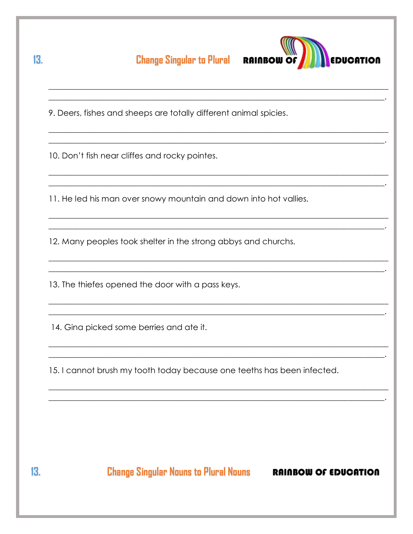**Change Singular to Plural RAINBOW OF** 



9. Deers, fishes and sheeps are totally different animal spicies.

10. Don't fish near cliffes and rocky pointes.

11. He led his man over snowy mountain and down into hot vallies.

12. Many peoples took shelter in the strong abbys and churchs.

13. The thiefes opened the door with a pass keys.

14. Gina picked some berries and ate it.

15. I cannot brush my tooth today because one teeths has been infected.

 $13.$ 

13.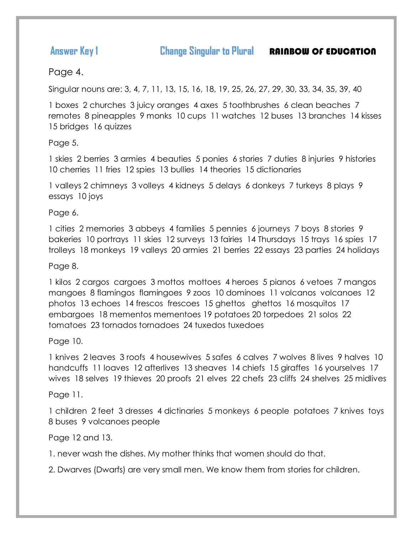**Answer Key 1 Change Singular to Plural <b>RAINBOW OF EDUCATION** 

Page 4.

Singular nouns are: 3, 4, 7, 11, 13, 15, 16, 18, 19, 25, 26, 27, 29, 30, 33, 34, 35, 39, 40

1 boxes 2 churches 3 juicy oranges 4 axes 5 toothbrushes 6 clean beaches 7 remotes 8 pineapples 9 monks 10 cups 11 watches 12 buses 13 branches 14 kisses 15 bridges 16 quizzes

#### Page 5.

1 skies 2 berries 3 armies 4 beauties 5 ponies 6 stories 7 duties 8 injuries 9 histories 10 cherries 11 fries 12 spies 13 bullies 14 theories 15 dictionaries

1 valleys 2 chimneys 3 volleys 4 kidneys 5 delays 6 donkeys 7 turkeys 8 plays 9 essays 10 joys

Page 6.

1 cities 2 memories 3 abbeys 4 families 5 pennies 6 journeys 7 boys 8 stories 9 bakeries 10 portrays 11 skies 12 surveys 13 fairies 14 Thursdays 15 trays 16 spies 17 trolleys 18 monkeys 19 valleys 20 armies 21 berries 22 essays 23 parties 24 holidays

#### Page 8.

1 kilos 2 cargos cargoes 3 mottos mottoes 4 heroes 5 pianos 6 vetoes 7 mangos mangoes 8 flamingos flamingoes 9 zoos 10 dominoes 11 volcanos volcanoes 12 photos 13 echoes 14 frescos frescoes 15 ghettos ghettos 16 mosquitos 17 embargoes 18 mementos mementoes 19 potatoes 20 torpedoes 21 solos 22 tomatoes 23 tornados tornadoes 24 tuxedos tuxedoes

Page 10.

1 knives 2 leaves 3 roofs 4 housewives 5 safes 6 calves 7 wolves 8 lives 9 halves 10 handcuffs 11 loaves 12 afterlives 13 sheaves 14 chiefs 15 giraffes 16 yourselves 17 wives 18 selves 19 thieves 20 proofs 21 elves 22 chefs 23 cliffs 24 shelves 25 midlives

Page 11.

1 children 2 feet 3 dresses 4 dictinaries 5 monkeys 6 people potatoes 7 knives toys 8 buses 9 volcanoes people

Page 12 and 13.

1. never wash the dishes. My mother thinks that women should do that.

2. Dwarves (Dwarfs) are very small men. We know them from stories for children.